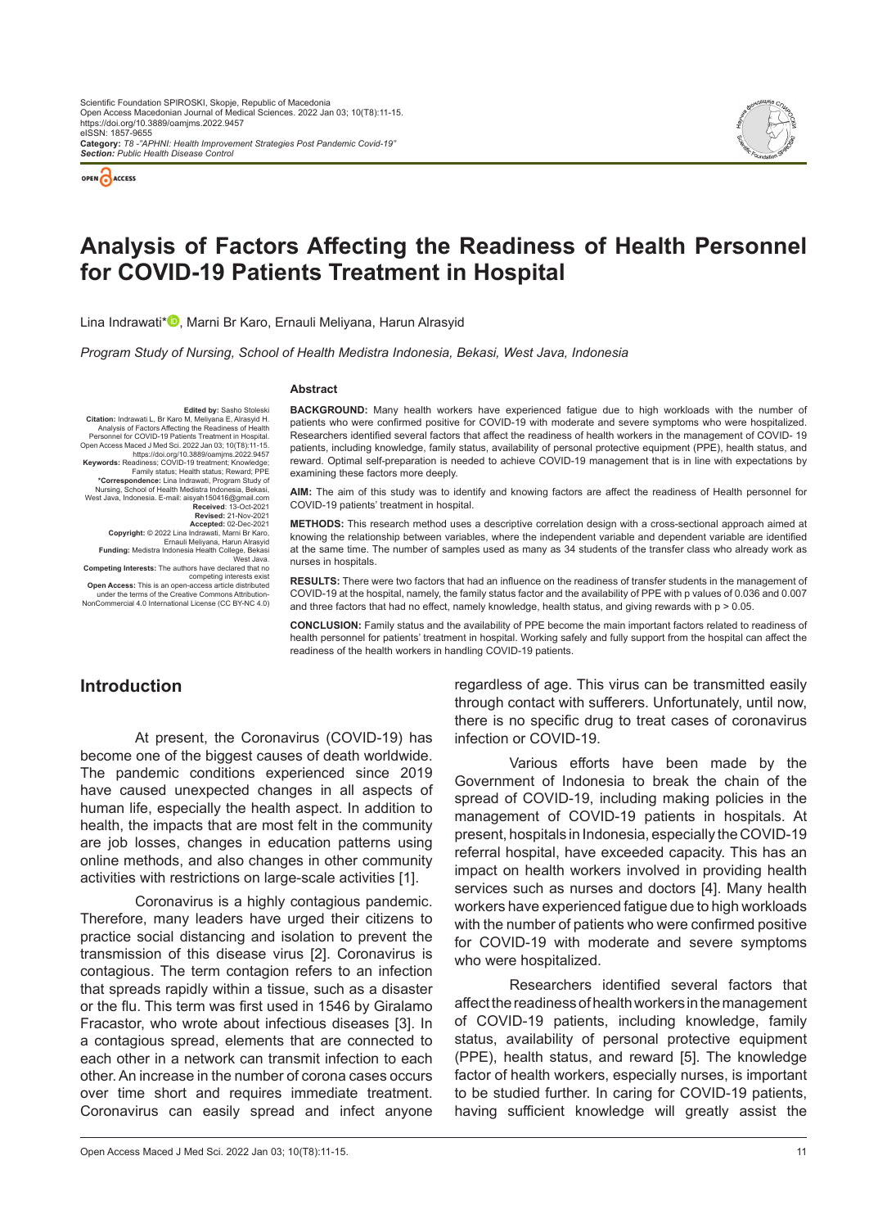



# **Analysis of Factors Affecting the Readiness of Health Personnel for COVID-19 Patients Treatment in Hospital**

Lina Indrawati\*<sup>®</sup>[,](https://orcid.org/0000-0002-5183-3630) Marni Br Karo, Ernauli Meliyana, Harun Alrasyid

*Program Study of Nursing, School of Health Medistra Indonesia, Bekasi, West Java, Indonesia*

#### **Abstract**

Edited by: Stasho Stoleski<br>
Enting Mayna S. Alraysia Stoleski<br>
Analysis of Factors Affecting the Readiness of Health<br>
Personnel for COVID-19 Patients Treatment in Hospital.<br>
Personnel of CoVID-19 Patients Treatment in Hosp **\*Correspondence:** Lina Indrawati, Program Study of Nursing, School of Health Medistra Indonesia, Bekasi,<br>West Java, Indonesia. E-mail: aisyah150416@gmail.com<br>Received: 13-Oct-2021<br>Revised: 21-Nov-2021<br>Accepted: 02-Dec-2021<br>Copyright: © 2022 Lina Indrawati, Marni Br Karo, Ernauli Meliyana, Harun Alrasyid **Funding:** Medistra Indonesia Health College, Bekasi West Java.<br>Competing Interests: The authors have declared that no<br>Competing interests exist<br>Open Access: This is an open-access article distributed<br>under the terms of the Creative Commons Attribution-<br>NonCommercial 4.0 Int

**BACKGROUND:** Many health workers have experienced fatigue due to high workloads with the number of patients who were confirmed positive for COVID-19 with moderate and severe symptoms who were hospitalized. Researchers identified several factors that affect the readiness of health workers in the management of COVID- 19 patients, including knowledge, family status, availability of personal protective equipment (PPE), health status, and reward. Optimal self-preparation is needed to achieve COVID-19 management that is in line with expectations by examining these factors more deeply.

**AIM:** The aim of this study was to identify and knowing factors are affect the readiness of Health personnel for COVID-19 patients' treatment in hospital.

**METHODS:** This research method uses a descriptive correlation design with a cross-sectional approach aimed at knowing the relationship between variables, where the independent variable and dependent variable are identified at the same time. The number of samples used as many as 34 students of the transfer class who already work as nurses in hospitals.

**RESULTS:** There were two factors that had an influence on the readiness of transfer students in the management of COVID-19 at the hospital, namely, the family status factor and the availability of PPE with p values of 0.036 and 0.007 and three factors that had no effect, namely knowledge, health status, and giving rewards with p > 0.05.

**CONCLUSION:** Family status and the availability of PPE become the main important factors related to readiness of health personnel for patients' treatment in hospital. Working safely and fully support from the hospital can affect the readiness of the health workers in handling COVID-19 patients.

### **Introduction**

At present, the Coronavirus (COVID-19) has become one of the biggest causes of death worldwide. The pandemic conditions experienced since 2019 have caused unexpected changes in all aspects of human life, especially the health aspect. In addition to health, the impacts that are most felt in the community are job losses, changes in education patterns using online methods, and also changes in other community activities with restrictions on large-scale activities [1].

Coronavirus is a highly contagious pandemic. Therefore, many leaders have urged their citizens to practice social distancing and isolation to prevent the transmission of this disease virus [2]. Coronavirus is contagious. The term contagion refers to an infection that spreads rapidly within a tissue, such as a disaster or the flu. This term was first used in 1546 by Giralamo Fracastor, who wrote about infectious diseases [3]. In a contagious spread, elements that are connected to each other in a network can transmit infection to each other. An increase in the number of corona cases occurs over time short and requires immediate treatment. Coronavirus can easily spread and infect anyone regardless of age. This virus can be transmitted easily through contact with sufferers. Unfortunately, until now, there is no specific drug to treat cases of coronavirus infection or COVID-19.

Various efforts have been made by the Government of Indonesia to break the chain of the spread of COVID-19, including making policies in the management of COVID-19 patients in hospitals. At present, hospitals in Indonesia, especially the COVID-19 referral hospital, have exceeded capacity. This has an impact on health workers involved in providing health services such as nurses and doctors [4]. Many health workers have experienced fatigue due to high workloads with the number of patients who were confirmed positive for COVID-19 with moderate and severe symptoms who were hospitalized.

Researchers identified several factors that affect the readiness of health workers in the management of COVID-19 patients, including knowledge, family status, availability of personal protective equipment (PPE), health status, and reward [5]. The knowledge factor of health workers, especially nurses, is important to be studied further. In caring for COVID-19 patients, having sufficient knowledge will greatly assist the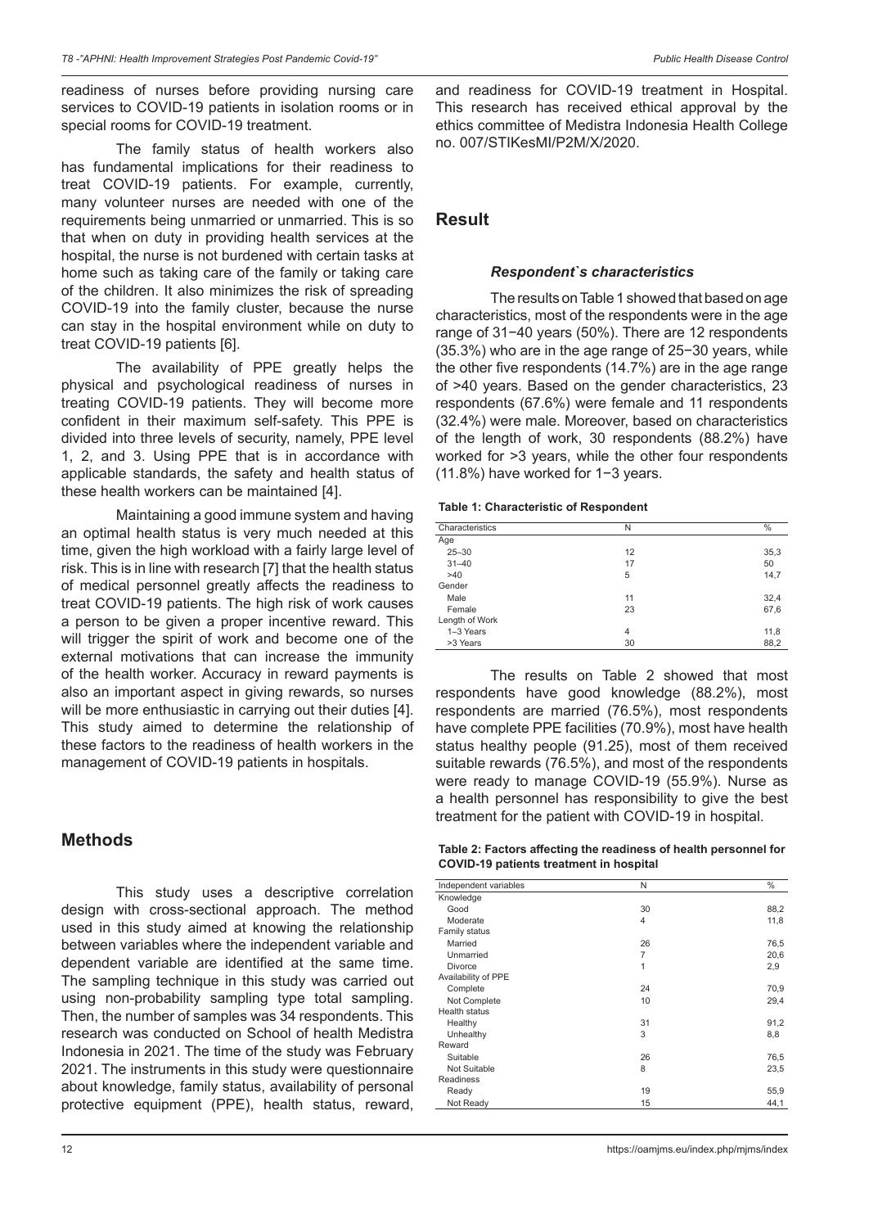readiness of nurses before providing nursing care services to COVID-19 patients in isolation rooms or in special rooms for COVID-19 treatment.

The family status of health workers also has fundamental implications for their readiness to treat COVID-19 patients. For example, currently, many volunteer nurses are needed with one of the requirements being unmarried or unmarried. This is so that when on duty in providing health services at the hospital, the nurse is not burdened with certain tasks at home such as taking care of the family or taking care of the children. It also minimizes the risk of spreading COVID-19 into the family cluster, because the nurse can stay in the hospital environment while on duty to treat COVID-19 patients [6].

The availability of PPE greatly helps the physical and psychological readiness of nurses in treating COVID-19 patients. They will become more confident in their maximum self-safety. This PPE is divided into three levels of security, namely, PPE level 1, 2, and 3. Using PPE that is in accordance with applicable standards, the safety and health status of these health workers can be maintained [4].

Maintaining a good immune system and having an optimal health status is very much needed at this time, given the high workload with a fairly large level of risk. This is in line with research [7] that the health status of medical personnel greatly affects the readiness to treat COVID-19 patients. The high risk of work causes a person to be given a proper incentive reward. This will trigger the spirit of work and become one of the external motivations that can increase the immunity of the health worker. Accuracy in reward payments is also an important aspect in giving rewards, so nurses will be more enthusiastic in carrying out their duties [4]. This study aimed to determine the relationship of these factors to the readiness of health workers in the management of COVID-19 patients in hospitals.

# **Methods**

This study uses a descriptive correlation design with cross-sectional approach. The method used in this study aimed at knowing the relationship between variables where the independent variable and dependent variable are identified at the same time. The sampling technique in this study was carried out using non-probability sampling type total sampling. Then, the number of samples was 34 respondents. This research was conducted on School of health Medistra Indonesia in 2021. The time of the study was February 2021. The instruments in this study were questionnaire about knowledge, family status, availability of personal protective equipment (PPE), health status, reward,

and readiness for COVID-19 treatment in Hospital. This research has received ethical approval by the ethics committee of Medistra Indonesia Health College no. 007/STIKesMI/P2M/X/2020.

# **Result**

#### *Respondent`s characteristics*

The results on Table 1 showed that based on age characteristics, most of the respondents were in the age range of 31−40 years (50%). There are 12 respondents (35.3%) who are in the age range of 25−30 years, while the other five respondents (14.7%) are in the age range of >40 years. Based on the gender characteristics, 23 respondents (67.6%) were female and 11 respondents (32.4%) were male. Moreover, based on characteristics of the length of work, 30 respondents (88.2%) have worked for >3 years, while the other four respondents (11.8%) have worked for 1−3 years.

#### **Table 1: Characteristic of Respondent**

| Characteristics | N  | $\frac{0}{6}$ |
|-----------------|----|---------------|
| Age             |    |               |
| $25 - 30$       | 12 | 35,3          |
| $31 - 40$       | 17 | 50            |
| >40             | 5  | 14,7          |
| Gender          |    |               |
| Male            | 11 | 32,4          |
| Female          | 23 | 67,6          |
| Length of Work  |    |               |
| 1-3 Years       | 4  | 11,8          |
| >3 Years        | 30 | 88,2          |

The results on Table 2 showed that most respondents have good knowledge (88.2%), most respondents are married (76.5%), most respondents have complete PPE facilities (70.9%), most have health status healthy people (91.25), most of them received suitable rewards (76.5%), and most of the respondents were ready to manage COVID-19 (55.9%). Nurse as a health personnel has responsibility to give the best treatment for the patient with COVID-19 in hospital.

| Table 2: Factors affecting the readiness of health personnel for |
|------------------------------------------------------------------|
| COVID-19 patients treatment in hospital                          |

| Independent variables | N              | %    |
|-----------------------|----------------|------|
| Knowledge             |                |      |
| Good                  | 30             | 88,2 |
| Moderate              | 4              | 11,8 |
| Family status         |                |      |
| Married               | 26             | 76,5 |
| Unmarried             | $\overline{7}$ | 20,6 |
| Divorce               | 1              | 2,9  |
| Availability of PPE   |                |      |
| Complete              | 24             | 70,9 |
| Not Complete          | 10             | 29,4 |
| Health status         |                |      |
| Healthy               | 31             | 91,2 |
| Unhealthy             | 3              | 8,8  |
| Reward                |                |      |
| Suitable              | 26             | 76,5 |
| Not Suitable          | 8              | 23,5 |
| <b>Readiness</b>      |                |      |
| Ready                 | 19             | 55,9 |
| Not Ready             | 15             | 44,1 |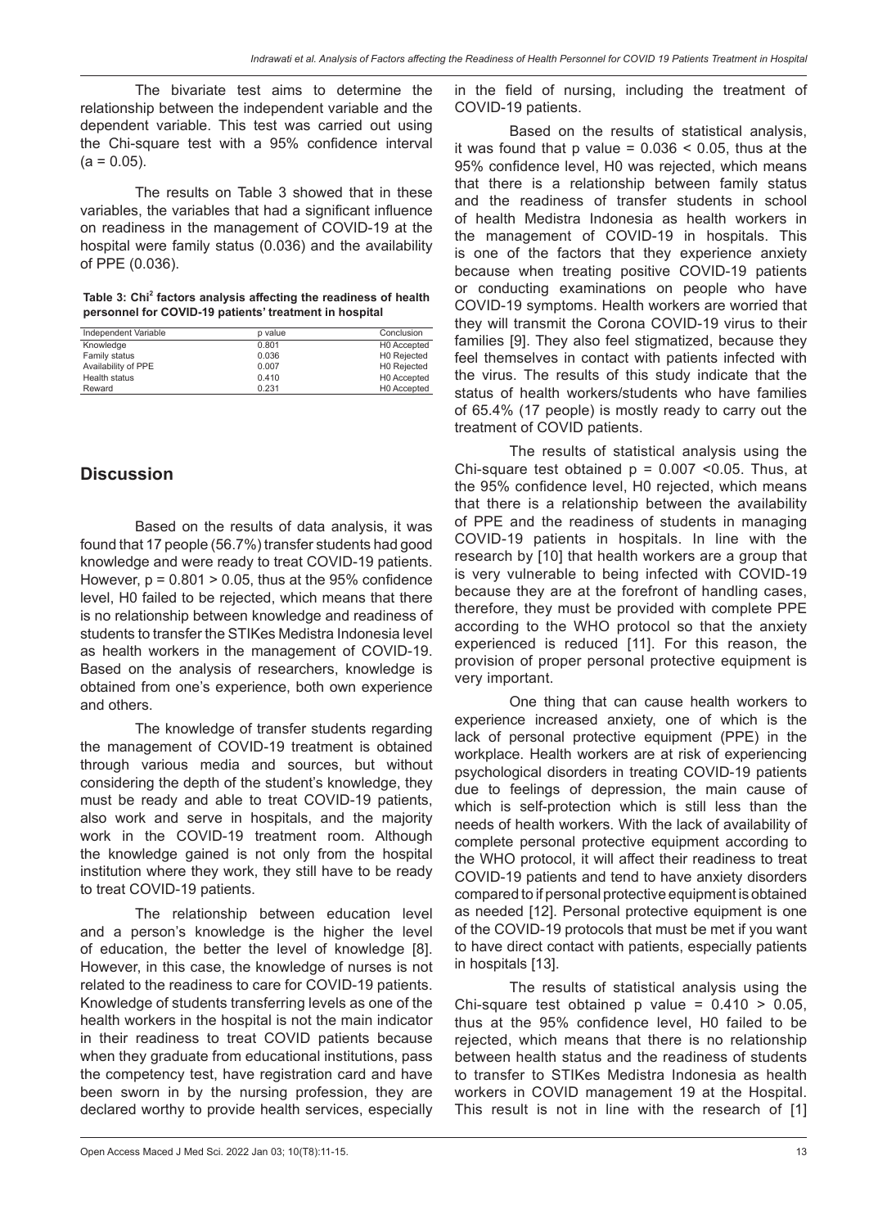The bivariate test aims to determine the relationship between the independent variable and the dependent variable. This test was carried out using the Chi-square test with a 95% confidence interval  $(a = 0.05)$ .

The results on Table 3 showed that in these variables, the variables that had a significant influence on readiness in the management of COVID-19 at the hospital were family status (0.036) and the availability of PPE (0.036).

**Table 3: Chi<sup>2</sup> factors analysis affecting the readiness of health personnel for COVID‑19 patients' treatment in hospital**

| Independent Variable | p value | Conclusion  |
|----------------------|---------|-------------|
| Knowledge            | 0.801   | H0 Accepted |
| Family status        | 0.036   | H0 Rejected |
| Availability of PPE  | 0.007   | H0 Rejected |
| Health status        | 0.410   | H0 Accepted |
| Reward               | 0.231   | H0 Accepted |

# **Discussion**

Based on the results of data analysis, it was found that 17 people (56.7%) transfer students had good knowledge and were ready to treat COVID-19 patients. However,  $p = 0.801 > 0.05$ , thus at the 95% confidence level, H0 failed to be rejected, which means that there is no relationship between knowledge and readiness of students to transfer the STIKes Medistra Indonesia level as health workers in the management of COVID-19. Based on the analysis of researchers, knowledge is obtained from one's experience, both own experience and others.

The knowledge of transfer students regarding the management of COVID-19 treatment is obtained through various media and sources, but without considering the depth of the student's knowledge, they must be ready and able to treat COVID-19 patients, also work and serve in hospitals, and the majority work in the COVID-19 treatment room. Although the knowledge gained is not only from the hospital institution where they work, they still have to be ready to treat COVID-19 patients.

The relationship between education level and a person's knowledge is the higher the level of education, the better the level of knowledge [8]. However, in this case, the knowledge of nurses is not related to the readiness to care for COVID-19 patients. Knowledge of students transferring levels as one of the health workers in the hospital is not the main indicator in their readiness to treat COVID patients because when they graduate from educational institutions, pass the competency test, have registration card and have been sworn in by the nursing profession, they are declared worthy to provide health services, especially in the field of nursing, including the treatment of COVID-19 patients.

Based on the results of statistical analysis, it was found that  $p$  value = 0.036 < 0.05, thus at the 95% confidence level, H0 was rejected, which means that there is a relationship between family status and the readiness of transfer students in school of health Medistra Indonesia as health workers in the management of COVID-19 in hospitals. This is one of the factors that they experience anxiety because when treating positive COVID-19 patients or conducting examinations on people who have COVID-19 symptoms. Health workers are worried that they will transmit the Corona COVID-19 virus to their families [9]. They also feel stigmatized, because they feel themselves in contact with patients infected with the virus. The results of this study indicate that the status of health workers/students who have families of 65.4% (17 people) is mostly ready to carry out the treatment of COVID patients.

The results of statistical analysis using the Chi-square test obtained  $p = 0.007$  <0.05. Thus, at the 95% confidence level, H0 rejected, which means that there is a relationship between the availability of PPE and the readiness of students in managing COVID-19 patients in hospitals. In line with the research by [10] that health workers are a group that is very vulnerable to being infected with COVID-19 because they are at the forefront of handling cases, therefore, they must be provided with complete PPE according to the WHO protocol so that the anxiety experienced is reduced [11]. For this reason, the provision of proper personal protective equipment is very important.

One thing that can cause health workers to experience increased anxiety, one of which is the lack of personal protective equipment (PPE) in the workplace. Health workers are at risk of experiencing psychological disorders in treating COVID-19 patients due to feelings of depression, the main cause of which is self-protection which is still less than the needs of health workers. With the lack of availability of complete personal protective equipment according to the WHO protocol, it will affect their readiness to treat COVID-19 patients and tend to have anxiety disorders compared to if personal protective equipment is obtained as needed [12]. Personal protective equipment is one of the COVID-19 protocols that must be met if you want to have direct contact with patients, especially patients in hospitals [13].

The results of statistical analysis using the Chi-square test obtained p value =  $0.410 > 0.05$ , thus at the 95% confidence level, H0 failed to be rejected, which means that there is no relationship between health status and the readiness of students to transfer to STIKes Medistra Indonesia as health workers in COVID management 19 at the Hospital. This result is not in line with the research of [1]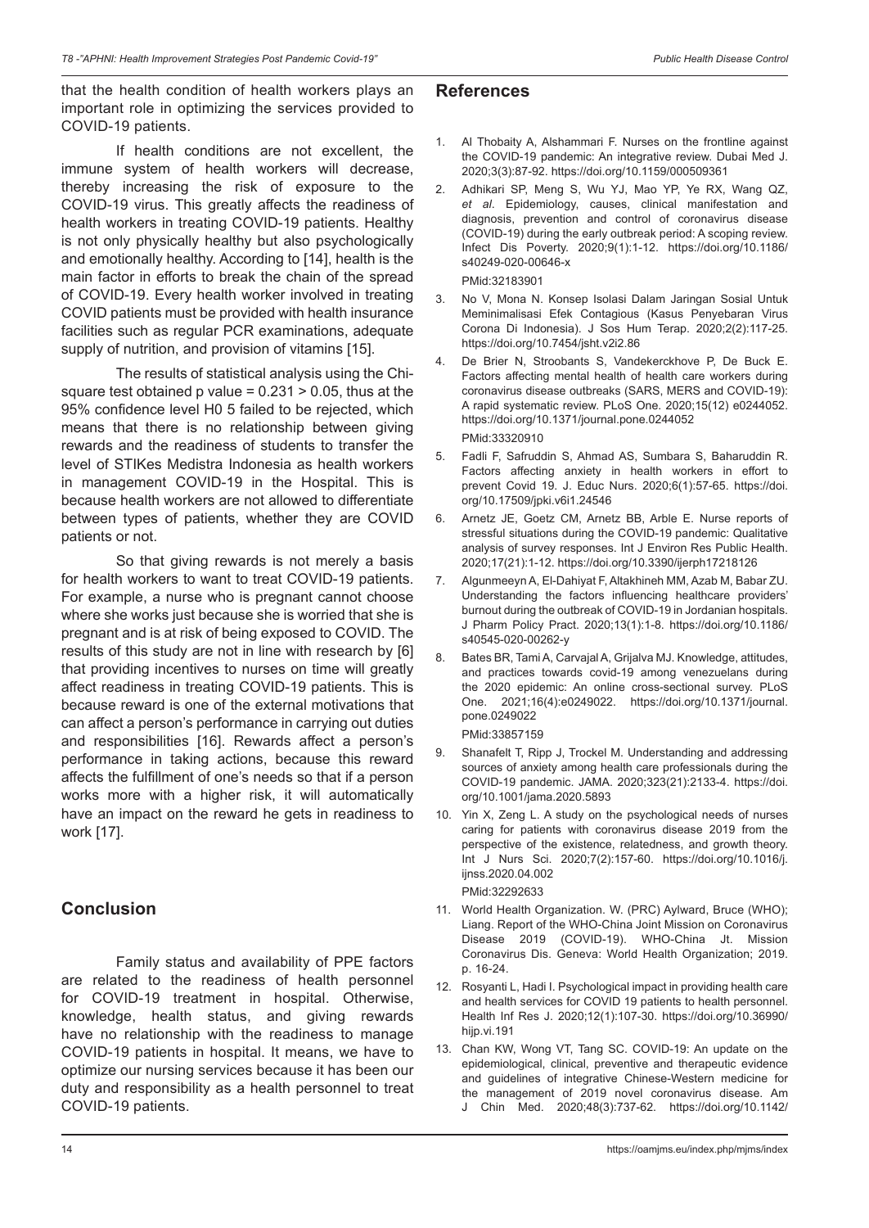that the health condition of health workers plays an important role in optimizing the services provided to COVID-19 patients.

If health conditions are not excellent, the immune system of health workers will decrease, thereby increasing the risk of exposure to the COVID-19 virus. This greatly affects the readiness of health workers in treating COVID-19 patients. Healthy is not only physically healthy but also psychologically and emotionally healthy. According to [14], health is the main factor in efforts to break the chain of the spread of COVID-19. Every health worker involved in treating COVID patients must be provided with health insurance facilities such as regular PCR examinations, adequate supply of nutrition, and provision of vitamins [15].

The results of statistical analysis using the Chisquare test obtained p value =  $0.231 > 0.05$ , thus at the 95% confidence level H0 5 failed to be rejected, which means that there is no relationship between giving rewards and the readiness of students to transfer the level of STIKes Medistra Indonesia as health workers in management COVID-19 in the Hospital. This is because health workers are not allowed to differentiate between types of patients, whether they are COVID patients or not.

So that giving rewards is not merely a basis for health workers to want to treat COVID-19 patients. For example, a nurse who is pregnant cannot choose where she works just because she is worried that she is pregnant and is at risk of being exposed to COVID. The results of this study are not in line with research by [6] that providing incentives to nurses on time will greatly affect readiness in treating COVID-19 patients. This is because reward is one of the external motivations that can affect a person's performance in carrying out duties and responsibilities [16]. Rewards affect a person's performance in taking actions, because this reward affects the fulfillment of one's needs so that if a person works more with a higher risk, it will automatically have an impact on the reward he gets in readiness to work [17].

# **Conclusion**

Family status and availability of PPE factors are related to the readiness of health personnel for COVID-19 treatment in hospital. Otherwise, knowledge, health status, and giving rewards have no relationship with the readiness to manage COVID-19 patients in hospital. It means, we have to optimize our nursing services because it has been our duty and responsibility as a health personnel to treat COVID-19 patients.

#### **References**

- 1. Al Thobaity A, Alshammari F. Nurses on the frontline against the COVID-19 pandemic: An integrative review. Dubai Med J. 2020;3(3):87-92. https://doi.org/10.1159/000509361
- 2. Adhikari SP, Meng S, Wu YJ, Mao YP, Ye RX, Wang QZ, *et al*. Epidemiology, causes, clinical manifestation and diagnosis, prevention and control of coronavirus disease (COVID-19) during the early outbreak period: A scoping review. Infect Dis Poverty. 2020;9(1):1-12. https://doi.org/10.1186/ s40249-020-00646-x PMid:32183901
- 3. No V, Mona N. Konsep Isolasi Dalam Jaringan Sosial Untuk Meminimalisasi Efek Contagious (Kasus Penyebaran Virus Corona Di Indonesia). J Sos Hum Terap. 2020;2(2):117-25. https://doi.org/10.7454/jsht.v2i2.86
- 4. De Brier N, Stroobants S, Vandekerckhove P, De Buck E. Factors affecting mental health of health care workers during coronavirus disease outbreaks (SARS, MERS and COVID-19): A rapid systematic review. PLoS One. 2020;15(12) e0244052. https://doi.org/10.1371/journal.pone.0244052 PMid:33320910
- 5. Fadli F, Safruddin S, Ahmad AS, Sumbara S, Baharuddin R. Factors affecting anxiety in health workers in effort to prevent Covid 19. J. Educ Nurs. 2020;6(1):57-65. https://doi. org/10.17509/jpki.v6i1.24546
- 6. Arnetz JE, Goetz CM, Arnetz BB, Arble E. Nurse reports of stressful situations during the COVID-19 pandemic: Qualitative analysis of survey responses. Int J Environ Res Public Health. 2020;17(21):1-12. https://doi.org/10.3390/ijerph17218126
- 7. Algunmeeyn A, El-Dahiyat F, Altakhineh MM, Azab M, Babar ZU. Understanding the factors influencing healthcare providers' burnout during the outbreak of COVID-19 in Jordanian hospitals. J Pharm Policy Pract. 2020;13(1):1-8. https://doi.org/10.1186/ s40545-020-00262-y
- 8. Bates BR, Tami A, Carvajal A, Grijalva MJ. Knowledge, attitudes, and practices towards covid-19 among venezuelans during the 2020 epidemic: An online cross-sectional survey. PLoS One. 2021;16(4):e0249022. https://doi.org/10.1371/journal. pone.0249022
	- PMid:33857159
- 9. Shanafelt T, Ripp J, Trockel M. Understanding and addressing sources of anxiety among health care professionals during the COVID-19 pandemic. JAMA. 2020;323(21):2133-4. https://doi. org/10.1001/jama.2020.5893
- 10. Yin X, Zeng L. A study on the psychological needs of nurses caring for patients with coronavirus disease 2019 from the perspective of the existence, relatedness, and growth theory. Int J Nurs Sci. 2020;7(2):157-60. https://doi.org/10.1016/j. ijnss.2020.04.002 PMid:32292633
- 11. World Health Organization. W. (PRC) Aylward, Bruce (WHO); Liang. Report of the WHO-China Joint Mission on Coronavirus Disease 2019 (COVID-19). WHO-China Jt. Mission Coronavirus Dis. Geneva: World Health Organization; 2019. p. 16-24.
- 12. Rosyanti L, Hadi I. Psychological impact in providing health care and health services for COVID 19 patients to health personnel. Health Inf Res J. 2020;12(1):107-30. https://doi.org/10.36990/ hijp.vi.191
- 13. Chan KW, Wong VT, Tang SC. COVID-19: An update on the epidemiological, clinical, preventive and therapeutic evidence and guidelines of integrative Chinese-Western medicine for the management of 2019 novel coronavirus disease. Am J Chin Med. 2020;48(3):737-62. https://doi.org/10.1142/